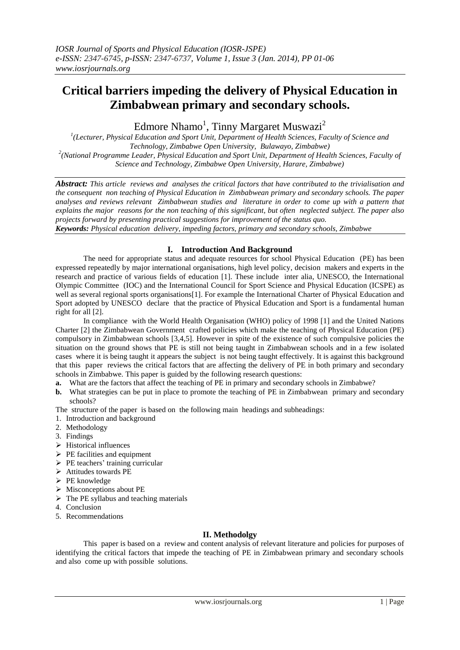# **Critical barriers impeding the delivery of Physical Education in Zimbabwean primary and secondary schools.**

Edmore Nhamo<sup>1</sup>, Tinny Margaret Muswazi<sup>2</sup>

*1 (Lecturer, Physical Education and Sport Unit, Department of Health Sciences, Faculty of Science and Technology, Zimbabwe Open University, Bulawayo, Zimbabwe) 2 (National Programme Leader, Physical Education and Sport Unit, Department of Health Sciences, Faculty of Science and Technology, Zimbabwe Open University, Harare, Zimbabwe)*

*Abstract: This article reviews and analyses the critical factors that have contributed to the trivialisation and the consequent non teaching of Physical Education in Zimbabwean primary and secondary schools. The paper analyses and reviews relevant Zimbabwean studies and literature in order to come up with a pattern that explains the major reasons for the non teaching of this significant, but often neglected subject. The paper also projects forward by presenting practical suggestions for improvement of the status quo. Keywords: Physical education delivery, impeding factors, primary and secondary schools, Zimbabwe* 

## **I. Introduction And Background**

The need for appropriate status and adequate resources for school Physical Education (PE) has been expressed repeatedly by major international organisations, high level policy, decision makers and experts in the research and practice of various fields of education [1]. These include inter alia, UNESCO, the International Olympic Committee (IOC) and the International Council for Sport Science and Physical Education (ICSPE) as well as several regional sports organisations[1]. For example the International Charter of Physical Education and Sport adopted by UNESCO declare that the practice of Physical Education and Sport is a fundamental human right for all [2].

In compliance with the World Health Organisation (WHO) policy of 1998 [1] and the United Nations Charter [2] the Zimbabwean Government crafted policies which make the teaching of Physical Education (PE) compulsory in Zimbabwean schools [3,4,5]. However in spite of the existence of such compulsive policies the situation on the ground shows that PE is still not being taught in Zimbabwean schools and in a few isolated cases where it is being taught it appears the subject is not being taught effectively. It is against this background that this paper reviews the critical factors that are affecting the delivery of PE in both primary and secondary schools in Zimbabwe. This paper is guided by the following research questions:

- **a.** What are the factors that affect the teaching of PE in primary and secondary schools in Zimbabwe?
- **b.** What strategies can be put in place to promote the teaching of PE in Zimbabwean primary and secondary schools?

The structure of the paper is based on the following main headings and subheadings:

- 1. Introduction and background
- 2. Methodology
- 3. Findings
- $\triangleright$  Historical influences
- $\triangleright$  PE facilities and equipment
- $\triangleright$  PE teachers' training curricular
- Attitudes towards PE
- $\triangleright$  PE knowledge
- $\triangleright$  Misconceptions about PE
- $\triangleright$  The PE syllabus and teaching materials
- 4. Conclusion
- 5. Recommendations

## **II. Methodolgy**

This paper is based on a review and content analysis of relevant literature and policies for purposes of identifying the critical factors that impede the teaching of PE in Zimbabwean primary and secondary schools and also come up with possible solutions.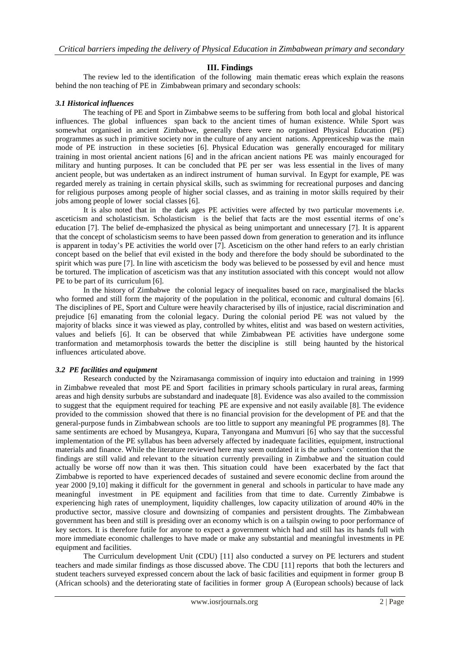## **III. Findings**

The review led to the identification of the following main thematic ereas which explain the reasons behind the non teaching of PE in Zimbabwean primary and secondary schools:

#### *3.1 Historical influences*

The teaching of PE and Sport in Zimbabwe seems to be suffering from both local and global historical influences. The global influences span back to the ancient times of human existence. While Sport was somewhat organised in ancient Zimbabwe, generally there were no organised Physical Education (PE) programmes as such in primitive society nor in the culture of any ancient nations. Apprenticeship was the main mode of PE instruction in these societies [6]. Physical Education was generally encouraged for military training in most oriental ancient nations [6] and in the african ancient nations PE was mainly encouraged for military and hunting purposes. It can be concluded that PE per ser was less essential in the lives of many ancient people, but was undertaken as an indirect instrument of human survival. In Egypt for example, PE was regarded merely as training in certain physical skills, such as swimming for recreational purposes and dancing for religious purposes among people of higher social classes, and as training in motor skills required by their jobs among people of lower social classes [6].

It is also noted that in the dark ages PE activities were affected by two particular movements i.e. asceticism and scholasticism. Scholasticism is the belief that facts are the most essential iterms of one's education [7]. The belief de-emphasized the physical as being unimportant and unnecessary [7]. It is apparent that the concept of scholasticism seems to have been passed down from generation to generation and its influnce is apparent in today's PE activities the world over [7]. Asceticism on the other hand refers to an early christian concept based on the belief that evil existed in the body and therefore the body should be subordinated to the spirit which was pure [7]. In line with asceticism the body was believed to be possessed by evil and hence must be tortured. The implication of asceticism was that any institution associated with this concept would not allow PE to be part of its curriculum [6].

In the history of Zimbabwe the colonial legacy of inequalites based on race, marginalised the blacks who formed and still form the majority of the population in the political, economic and cultural domains [6]. The disciplines of PE, Sport and Culture were heavily characterised by ills of injustice, racial discrimination and prejudice [6] emanating from the colonial legacy. During the colonial period PE was not valued by the majority of blacks since it was viewed as play, controlled by whites, elitist and was based on western activities, values and beliefs [6]. It can be observed that while Zimbabwean PE activities have undergone some tranformation and metamorphosis towards the better the discipline is still being haunted by the historical influences articulated above.

## *3.2 PE facilities and equipment*

Research conducted by the Nziramasanga commission of inquiry into eductaion and training in 1999 in Zimbabwe revealed that most PE and Sport facilities in primary schools particulary in rural areas, farming areas and high density surbubs are substandard and inadequate [8]. Evidence was also availed to the commission to suggest that the equipment required for teaching PE are expensive and not easily available [8]. The evidence provided to the commission showed that there is no financial provision for the development of PE and that the general-purpose funds in Zimbabwean schools are too little to support any meaningful PE programmes [8]. The same sentiments are echoed by Musangeya, Kupara, Tanyongana and Mumvuri [6] who say that the successful implementation of the PE syllabus has been adversely affected by inadequate facilities, equipment, instructional materials and finance. While the literature reviewed here may seem outdated it is the authors' contention that the findings are still valid and relevant to the situation currently prevailing in Zimbabwe and the situation could actually be worse off now than it was then. This situation could have been exacerbated by the fact that Zimbabwe is reported to have experienced decades of sustained and severe economic decline from around the year 2000 [9,10] making it difficult for the government in general and schools in particular to have made any meaningful investment in PE equipment and facilities from that time to date. Currently Zimbabwe is experiencing high rates of unemployment, liquidity challenges, low capacity utilization of around 40% in the productive sector, massive closure and downsizing of companies and persistent droughts. The Zimbabwean government has been and still is presiding over an economy which is on a tailspin owing to poor performance of key sectors. It is therefore futile for anyone to expect a government which had and still has its hands full with more immediate economic challenges to have made or make any substantial and meaningful investments in PE equipment and facilities.

The Curriculum development Unit (CDU) [11] also conducted a survey on PE lecturers and student teachers and made similar findings as those discussed above. The CDU [11] reports that both the lecturers and student teachers surveyed expressed concern about the lack of basic facilities and equipment in former group B (African schools) and the deteriorating state of facilities in former group A (European schools) because of lack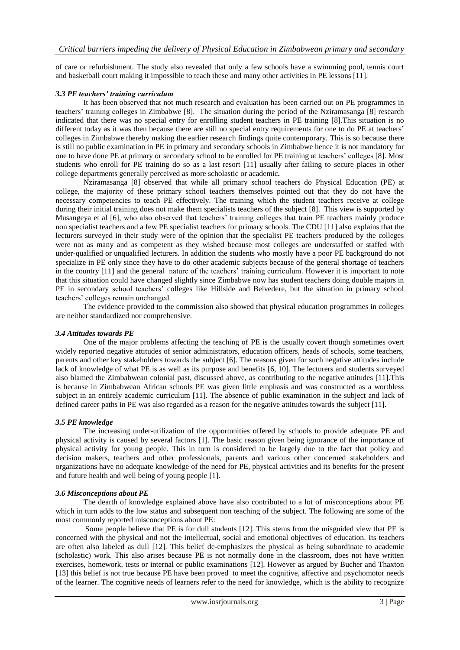of care or refurbishment. The study also revealed that only a few schools have a swimming pool, tennis court and basketball court making it impossible to teach these and many other activities in PE lessons [11].

#### *3.3 PE teachers' training curriculum*

It has been observed that not much research and evaluation has been carried out on PE programmes in teachers' training colleges in Zimbabwe [8]. The situation during the period of the Nziramasanga [8] research indicated that there was no special entry for enrolling student teachers in PE training [8].This situation is no different today as it was then because there are still no special entry requirements for one to do PE at teachers' colleges in Zimbabwe thereby making the earlier research findings quite contemporary. This is so because there is still no public examination in PE in primary and secondary schools in Zimbabwe hence it is not mandatory for one to have done PE at primary or secondary school to be enrolled for PE training at teachers' colleges [8]. Most students who enroll for PE training do so as a last resort [11] usually after failing to secure places in other college departments generally perceived as more scholastic or academic**.**

Nziramasanga [8] observed that while all primary school teachers do Physical Education (PE) at college, the majority of these primary school teachers themselves pointed out that they do not have the necessary competencies to teach PE effectively. The training which the student teachers receive at college during their initial training does not make them specialists teachers of the subject [8]. This view is supported by Musangeya et al [6], who also observed that teachers' training colleges that train PE teachers mainly produce non specialist teachers and a few PE specialist teachers for primary schools. The CDU [11] also explains that the lecturers surveyed in their study were of the opinion that the specialist PE teachers produced by the colleges were not as many and as competent as they wished because most colleges are understaffed or staffed with under-qualified or unqualified lecturers. In addition the students who mostly have a poor PE background do not specialize in PE only since they have to do other academic subjects because of the general shortage of teachers in the country [11] and the general nature of the teachers' training curriculum. However it is important to note that this situation could have changed slightly since Zimbabwe now has student teachers doing double majors in PE in secondary school teachers' colleges like Hillside and Belvedere, but the situation in primary school teachers' colleges remain unchanged.

The evidence provided to the commission also showed that physical education programmes in colleges are neither standardized nor comprehensive.

#### *3.4 Attitudes towards PE*

One of the major problems affecting the teaching of PE is the usually covert though sometimes overt widely reported negative attitudes of senior administrators, education officers, heads of schools, some teachers, parents and other key stakeholders towards the subject [6]. The reasons given for such negative attitudes include lack of knowledge of what PE is as well as its purpose and benefits [6, 10]. The lecturers and students surveyed also blamed the Zimbabwean colonial past, discussed above, as contributing to the negative attitudes [11].This is because in Zimbabwean African schools PE was given little emphasis and was constructed as a worthless subject in an entirely academic curriculum [11]. The absence of public examination in the subject and lack of defined career paths in PE was also regarded as a reason for the negative attitudes towards the subject [11].

#### *3.5 PE knowledge*

The increasing under-utilization of the opportunities offered by schools to provide adequate PE and physical activity is caused by several factors [1]. The basic reason given being ignorance of the importance of physical activity for young people. This in turn is considered to be largely due to the fact that policy and decision makers, teachers and other professionals, parents and various other concerned stakeholders and organizations have no adequate knowledge of the need for PE, physical activities and its benefits for the present and future health and well being of young people [1].

#### *3.6 Misconceptions about PE*

The dearth of knowledge explained above have also contributed to a lot of misconceptions about PE which in turn adds to the low status and subsequent non teaching of the subject. The following are some of the most commonly reported misconceptions about PE:

Some people believe that PE is for dull students [12]. This stems from the misguided view that PE is concerned with the physical and not the intellectual, social and emotional objectives of education. Its teachers are often also labeled as dull [12]. This belief de-emphasizes the physical as being subordinate to academic (scholastic) work. This also arises because PE is not normally done in the classroom, does not have written exercises, homework, tests or internal or public examinations [12]. However as argued by Bucher and Thaxton [13] this belief is not true because PE have been proved to meet the cognitive, affective and psychomotor needs of the learner. The cognitive needs of learners refer to the need for knowledge, which is the ability to recognize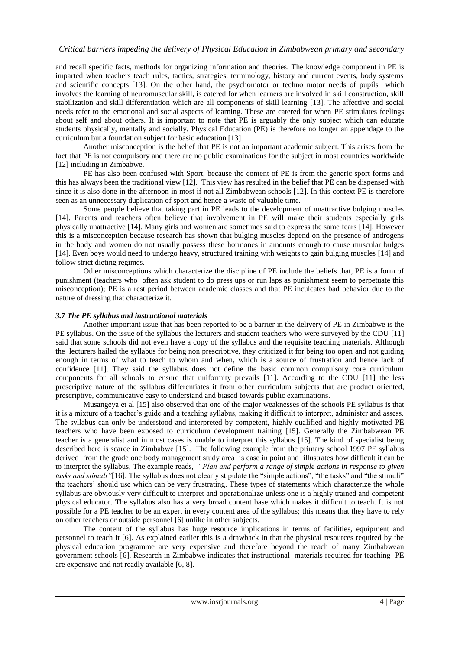and recall specific facts, methods for organizing information and theories. The knowledge component in PE is imparted when teachers teach rules, tactics, strategies, terminology, history and current events, body systems and scientific concepts [13]. On the other hand, the psychomotor or techno motor needs of pupils which involves the learning of neuromuscular skill, is catered for when learners are involved in skill construction, skill stabilization and skill differentiation which are all components of skill learning [13]. The affective and social needs refer to the emotional and social aspects of learning. These are catered for when PE stimulates feelings about self and about others. It is important to note that PE is arguably the only subject which can educate students physically, mentally and socially. Physical Education (PE) is therefore no longer an appendage to the curriculum but a foundation subject for basic education [13].

Another misconception is the belief that PE is not an important academic subject. This arises from the fact that PE is not compulsory and there are no public examinations for the subject in most countries worldwide [12] including in Zimbabwe.

PE has also been confused with Sport, because the content of PE is from the generic sport forms and this has always been the traditional view [12]. This view has resulted in the belief that PE can be dispensed with since it is also done in the afternoon in most if not all Zimbabwean schools [12]. In this context PE is therefore seen as an unnecessary duplication of sport and hence a waste of valuable time.

Some people believe that taking part in PE leads to the development of unattractive bulging muscles [14]. Parents and teachers often believe that involvement in PE will make their students especially girls physically unattractive [14]. Many girls and women are sometimes said to express the same fears [14]. However this is a misconception because research has shown that bulging muscles depend on the presence of androgens in the body and women do not usually possess these hormones in amounts enough to cause muscular bulges [14]. Even boys would need to undergo heavy, structured training with weights to gain bulging muscles [14] and follow strict dieting regimes.

Other misconceptions which characterize the discipline of PE include the beliefs that, PE is a form of punishment (teachers who often ask student to do press ups or run laps as punishment seem to perpetuate this misconception); PE is a rest period between academic classes and that PE inculcates bad behavior due to the nature of dressing that characterize it.

### *3.7 The PE syllabus and instructional materials*

Another important issue that has been reported to be a barrier in the delivery of PE in Zimbabwe is the PE syllabus. On the issue of the syllabus the lecturers and student teachers who were surveyed by the CDU [11] said that some schools did not even have a copy of the syllabus and the requisite teaching materials. Although the lecturers hailed the syllabus for being non prescriptive, they criticized it for being too open and not guiding enough in terms of what to teach to whom and when, which is a source of frustration and hence lack of confidence [11]. They said the syllabus does not define the basic common compulsory core curriculum components for all schools to ensure that uniformity prevails [11]. According to the CDU [11] the less prescriptive nature of the syllabus differentiates it from other curriculum subjects that are product oriented, prescriptive, communicative easy to understand and biased towards public examinations.

Musangeya et al [15] also observed that one of the major weaknesses of the schools PE syllabus is that it is a mixture of a teacher's guide and a teaching syllabus, making it difficult to interpret, administer and assess. The syllabus can only be understood and interpreted by competent, highly qualified and highly motivated PE teachers who have been exposed to curriculum development training [15]. Generally the Zimbabwean PE teacher is a generalist and in most cases is unable to interpret this syllabus [15]. The kind of specialist being described here is scarce in Zimbabwe [15]. The following example from the primary school 1997 PE syllabus derived from the grade one body management study area is case in point and illustrates how difficult it can be to interpret the syllabus, The example reads, *" Plan and perform a range of simple actions in response to given*  tasks and stimuli"[16]. The syllabus does not clearly stipulate the "simple actions", "the tasks" and "the stimuli" the teachers' should use which can be very frustrating. These types of statements which characterize the whole syllabus are obviously very difficult to interpret and operationalize unless one is a highly trained and competent physical educator. The syllabus also has a very broad content base which makes it difficult to teach. It is not possible for a PE teacher to be an expert in every content area of the syllabus; this means that they have to rely on other teachers or outside personnel [6] unlike in other subjects.

The content of the syllabus has huge resource implications in terms of facilities, equipment and personnel to teach it [6]. As explained earlier this is a drawback in that the physical resources required by the physical education programme are very expensive and therefore beyond the reach of many Zimbabwean government schools [6]. Research in Zimbabwe indicates that instructional materials required for teaching PE are expensive and not readly available [6, 8].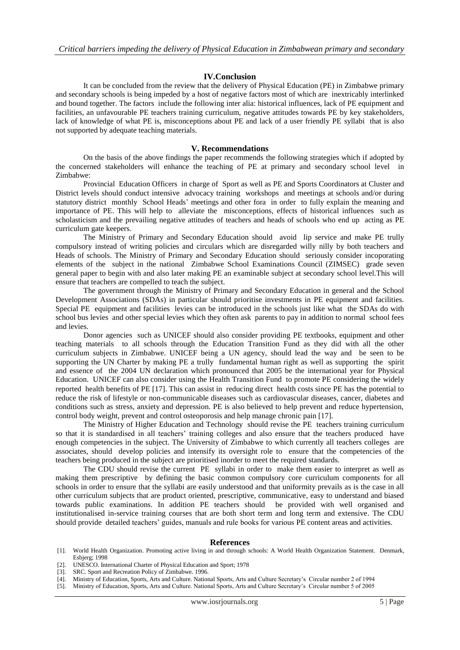#### **IV.Conclusion**

It can be concluded from the review that the delivery of Physical Education (PE) in Zimbabwe primary and secondary schools is being impeded by a host of negative factors most of which are inextricably interlinked and bound together. The factors include the following inter alia: historical influences, lack of PE equipment and facilities, an unfavourable PE teachers training curriculum, negative attitudes towards PE by key stakeholders, lack of knowledge of what PE is, misconceptions about PE and lack of a user friendly PE syllabi that is also not supported by adequate teaching materials.

#### **V. Recommendations**

On the basis of the above findings the paper recommends the following strategies which if adopted by the concerned stakeholders will enhance the teaching of PE at primary and secondary school level in Zimbabwe:

Provincial Education Officers in charge of Sport as well as PE and Sports Coordinators at Cluster and District levels should conduct intensive advocacy training workshops and meetings at schools and/or during statutory district monthly School Heads' meetings and other fora in order to fully explain the meaning and importance of PE. This will help to alleviate the misconceptions, effects of historical influences such as scholasticism and the prevailing negative attitudes of teachers and heads of schools who end up acting as PE curriculum gate keepers.

The Ministry of Primary and Secondary Education should avoid lip service and make PE trully compulsory instead of writing policies and circulars which are disregarded willy nilly by both teachers and Heads of schools. The Ministry of Primary and Secondary Education should seriously consider incoporating elements of the subject in the national Zimbabwe School Examinations Council (ZIMSEC) grade seven general paper to begin with and also later making PE an examinable subject at secondary school level.This will ensure that teachers are compelled to teach the subject.

The government through the Ministry of Primary and Secondary Education in general and the School Development Associations (SDAs) in particular should prioritise investments in PE equipment and facilities. Special PE equipment and facilities levies can be introduced in the schools just like what the SDAs do with school bus levies and other special levies which they often ask parents to pay in addition to normal school fees and levies.

Donor agencies such as UNICEF should also consider providing PE textbooks, equipment and other teaching materials to all schools through the Education Transition Fund as they did with all the other curriculum subjects in Zimbabwe. UNICEF being a UN agency, should lead the way and be seen to be supporting the UN Charter by making PE a trully fundamental human right as well as supporting the spirit and essence of the 2004 UN declaration which pronounced that 2005 be the international year for Physical Education. UNICEF can also consider using the Health Transition Fund to promote PE considering the widely reported health benefits of PE [17]. This can assist in reducing direct health costs since PE has the potential to reduce the risk of lifestyle or non-communicable diseases such as cardiovascular diseases, cancer, diabetes and conditions such as stress, anxiety and depression. PE is also believed to help prevent and reduce hypertension, control body weight, prevent and control osteoporosis and help manage chronic pain [17].

The Ministry of Higher Education and Technology should revise the PE teachers training curriculum so that it is standardised in all teachers' training colleges and also ensure that the teachers produced have enough competencies in the subject. The University of Zimbabwe to which currently all teachers colleges are associates, should develop policies and intensify its oversight role to ensure that the competencies of the teachers being produced in the subject are prioritised inorder to meet the required standards.

The CDU should revise the current PE syllabi in order to make them easier to interpret as well as making them prescriptive by defining the basic common compulsory core curriculum components for all schools in order to ensure that the syllabi are easily understood and that uniformity prevails as is the case in all other curriculum subjects that are product oriented, prescriptive, communicative, easy to understand and biased towards public examinations. In addition PE teachers should be provided with well organised and institutionalised in-service training courses that are both short term and long term and extensive. The CDU should provide detailed teachers' guides, manuals and rule books for various PE content areas and activities.

#### **References**

- [1]. World Health Organization. Promoting active living in and through schools: A World Health Organization Statement. Denmark, Esbjerg; 1998
- [2]. UNESCO. International Charter of Physical Education and Sport; 1978<br>[3]. SRC. Sport and Recreation Policy of Zimbabwe. 1996.<br>[4]. Ministry of Education, Sports, Arts and Culture. National Sports, Arts a
- SRC. Sport and Recreation Policy of Zimbabwe. 1996.
- [4]. Ministry of Education, Sports, Arts and Culture. National Sports, Arts and Culture Secretary's Circular number 2 of 1994
- [5]. Ministry of Education, Sports, Arts and Culture. National Sports, Arts and Culture Secretary's Circular number 5 of 2005